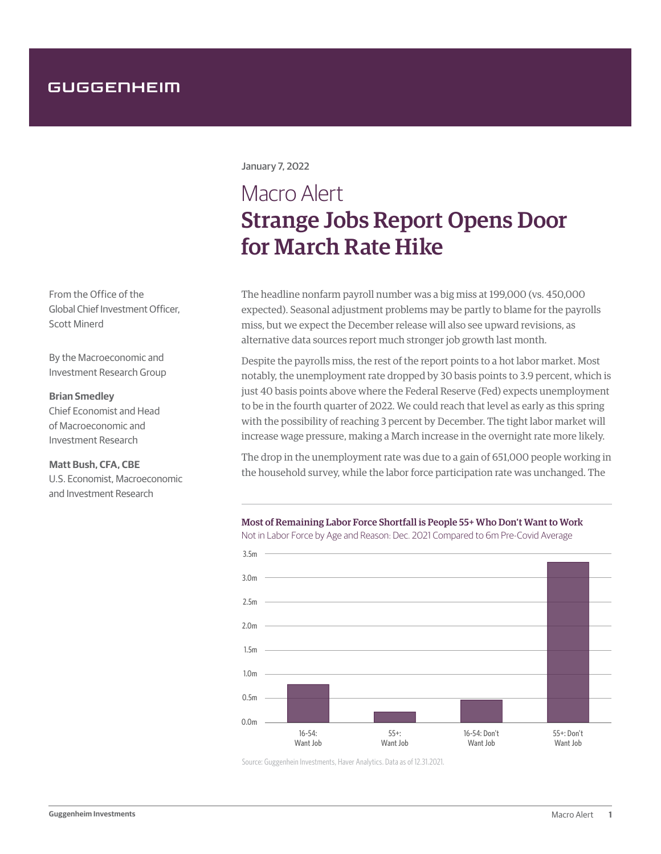# GUGGENHEIM

From the Office of the Global Chief Investment Officer, Scott Minerd

By the Macroeconomic and Investment Research Group

## **Brian Smedley**

Chief Economist and Head of Macroeconomic and Investment Research

# **Matt Bush, CFA, CBE**

U.S. Economist, Macroeconomic and Investment Research

# January 7, 2022

# Macro Alert Strange Jobs Report Opens Door for March Rate Hike

The headline nonfarm payroll number was a big miss at 199,000 (vs. 450,000 expected). Seasonal adjustment problems may be partly to blame for the payrolls miss, but we expect the December release will also see upward revisions, as alternative data sources report much stronger job growth last month.

Despite the payrolls miss, the rest of the report points to a hot labor market. Most notably, the unemployment rate dropped by 30 basis points to 3.9 percent, which is just 40 basis points above where the Federal Reserve (Fed) expects unemployment to be in the fourth quarter of 2022. We could reach that level as early as this spring with the possibility of reaching 3 percent by December. The tight labor market will increase wage pressure, making a March increase in the overnight rate more likely.

The drop in the unemployment rate was due to a gain of 651,000 people working in the household survey, while the labor force participation rate was unchanged. The

## Most of Remaining Labor Force Shortfall is People 55+ Who Don't Want to Work



Not in Labor Force by Age and Reason: Dec. 2021 Compared to 6m Pre-Covid Average

55+: Want Job 16-54: Don't Want Job

Source: Guggenhein Investments, Haver Analytics. Data as of 12.31.2021.

16-54: Want Job

 $0.0<sub>m</sub>$ 

0.5m

1.0m

1.5m

2.0m

55+: Don't Want Job